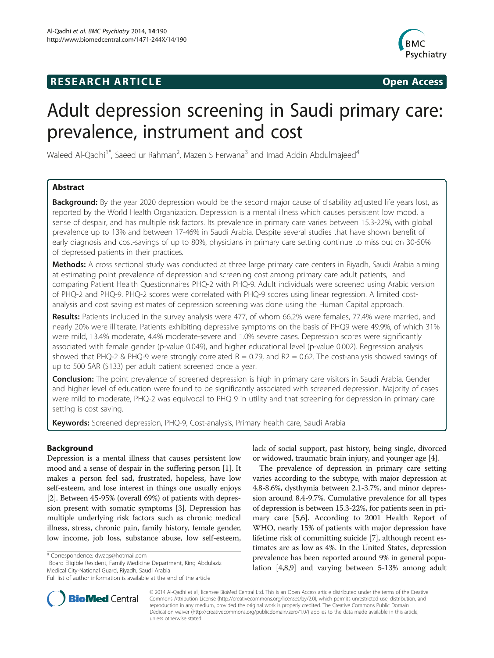# **RESEARCH ARTICLE Example 2014 CONSIDERING CONSIDERING CONSIDERING CONSIDERING CONSIDERING CONSIDERING CONSIDERING CONSIDERING CONSIDERING CONSIDERING CONSIDERING CONSIDERING CONSIDERING CONSIDERING CONSIDERING CONSIDE**



# Adult depression screening in Saudi primary care: prevalence, instrument and cost

Waleed Al-Qadhi<sup>1\*</sup>, Saeed ur Rahman<sup>2</sup>, Mazen S Ferwana<sup>3</sup> and Imad Addin Abdulmajeed<sup>4</sup>

# Abstract

Background: By the year 2020 depression would be the second major cause of disability adjusted life years lost, as reported by the World Health Organization. Depression is a mental illness which causes persistent low mood, a sense of despair, and has multiple risk factors. Its prevalence in primary care varies between 15.3-22%, with global prevalence up to 13% and between 17-46% in Saudi Arabia. Despite several studies that have shown benefit of early diagnosis and cost-savings of up to 80%, physicians in primary care setting continue to miss out on 30-50% of depressed patients in their practices.

Methods: A cross sectional study was conducted at three large primary care centers in Riyadh, Saudi Arabia aiming at estimating point prevalence of depression and screening cost among primary care adult patients, and comparing Patient Health Questionnaires PHQ-2 with PHQ-9. Adult individuals were screened using Arabic version of PHQ-2 and PHQ-9. PHQ-2 scores were correlated with PHQ-9 scores using linear regression. A limited costanalysis and cost saving estimates of depression screening was done using the Human Capital approach.

Results: Patients included in the survey analysis were 477, of whom 66.2% were females, 77.4% were married, and nearly 20% were illiterate. Patients exhibiting depressive symptoms on the basis of PHQ9 were 49.9%, of which 31% were mild, 13.4% moderate, 4.4% moderate-severe and 1.0% severe cases. Depression scores were significantly associated with female gender (p-value 0.049), and higher educational level (p-value 0.002). Regression analysis showed that PHQ-2 & PHQ-9 were strongly correlated  $R = 0.79$ , and  $R2 = 0.62$ . The cost-analysis showed savings of up to 500 SAR (\$133) per adult patient screened once a year.

Conclusion: The point prevalence of screened depression is high in primary care visitors in Saudi Arabia. Gender and higher level of education were found to be significantly associated with screened depression. Majority of cases were mild to moderate, PHQ-2 was equivocal to PHQ 9 in utility and that screening for depression in primary care setting is cost saving.

Keywords: Screened depression, PHQ-9, Cost-analysis, Primary health care, Saudi Arabia

# Background

Depression is a mental illness that causes persistent low mood and a sense of despair in the suffering person [\[1](#page-7-0)]. It makes a person feel sad, frustrated, hopeless, have low self-esteem, and lose interest in things one usually enjoys [[2\]](#page-7-0). Between 45-95% (overall 69%) of patients with depression present with somatic symptoms [[3\]](#page-7-0). Depression has multiple underlying risk factors such as chronic medical illness, stress, chronic pain, family history, female gender, low income, job loss, substance abuse, low self-esteem,

<sup>1</sup>Board Eligible Resident, Family Medicine Department, King Abdulaziz Medical City-National Guard, Riyadh, Saudi Arabia

lack of social support, past history, being single, divorced or widowed, traumatic brain injury, and younger age [[4](#page-7-0)].

The prevalence of depression in primary care setting varies according to the subtype, with major depression at 4.8-8.6%, dysthymia between 2.1-3.7%, and minor depression around 8.4-9.7%. Cumulative prevalence for all types of depression is between 15.3-22%, for patients seen in primary care [\[5,6\]](#page-7-0). According to 2001 Health Report of WHO, nearly 15% of patients with major depression have lifetime risk of committing suicide [\[7](#page-7-0)], although recent estimates are as low as 4%. In the United States, depression prevalence has been reported around 9% in general population [[4,8](#page-7-0),[9](#page-7-0)] and varying between 5-13% among adult



© 2014 Al-Qadhi et al.; licensee BioMed Central Ltd. This is an Open Access article distributed under the terms of the Creative Commons Attribution License [\(http://creativecommons.org/licenses/by/2.0\)](http://creativecommons.org/licenses/by/2.0), which permits unrestricted use, distribution, and reproduction in any medium, provided the original work is properly credited. The Creative Commons Public Domain Dedication waiver [\(http://creativecommons.org/publicdomain/zero/1.0/](http://creativecommons.org/publicdomain/zero/1.0/)) applies to the data made available in this article, unless otherwise stated.

<sup>\*</sup> Correspondence: [dwaqs@hotmail.com](mailto:dwaqs@hotmail.com) <sup>1</sup>

Full list of author information is available at the end of the article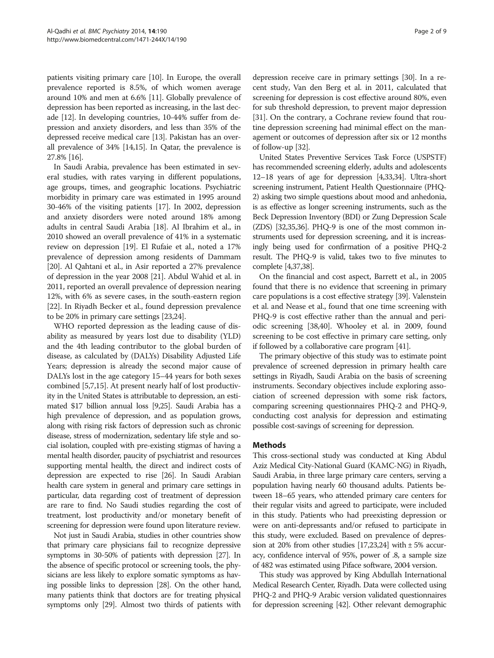patients visiting primary care [\[10](#page-7-0)]. In Europe, the overall prevalence reported is 8.5%, of which women average around 10% and men at 6.6% [\[11](#page-7-0)]. Globally prevalence of depression has been reported as increasing, in the last decade [[12\]](#page-7-0). In developing countries, 10-44% suffer from depression and anxiety disorders, and less than 35% of the depressed receive medical care [[13](#page-7-0)]. Pakistan has an overall prevalence of 34% [\[14,15](#page-7-0)]. In Qatar, the prevalence is 27.8% [[16](#page-7-0)].

In Saudi Arabia, prevalence has been estimated in several studies, with rates varying in different populations, age groups, times, and geographic locations. Psychiatric morbidity in primary care was estimated in 1995 around 30-46% of the visiting patients [[17](#page-7-0)]. In 2002, depression and anxiety disorders were noted around 18% among adults in central Saudi Arabia [\[18\]](#page-7-0). Al Ibrahim et al., in 2010 showed an overall prevalence of 41% in a systematic review on depression [\[19\]](#page-7-0). El Rufaie et al., noted a 17% prevalence of depression among residents of Dammam [[20](#page-7-0)]. Al Qahtani et al., in Asir reported a 27% prevalence of depression in the year 2008 [[21](#page-7-0)]. Abdul Wahid et al. in 2011, reported an overall prevalence of depression nearing 12%, with 6% as severe cases, in the south-eastern region [[22](#page-7-0)]. In Riyadh Becker et al., found depression prevalence to be 20% in primary care settings [[23](#page-7-0),[24](#page-7-0)].

WHO reported depression as the leading cause of disability as measured by years lost due to disability (YLD) and the 4th leading contributor to the global burden of disease, as calculated by (DALYs) Disability Adjusted Life Years; depression is already the second major cause of DALYs lost in the age category 15–44 years for both sexes combined [\[5,7,15](#page-7-0)]. At present nearly half of lost productivity in the United States is attributable to depression, an estimated \$17 billion annual loss [\[9,25\]](#page-7-0). Saudi Arabia has a high prevalence of depression, and as population grows, along with rising risk factors of depression such as chronic disease, stress of modernization, sedentary life style and social isolation, coupled with pre-existing stigmas of having a mental health disorder, paucity of psychiatrist and resources supporting mental health, the direct and indirect costs of depression are expected to rise [[26](#page-7-0)]. In Saudi Arabian health care system in general and primary care settings in particular, data regarding cost of treatment of depression are rare to find. No Saudi studies regarding the cost of treatment, lost productivity and/or monetary benefit of screening for depression were found upon literature review.

Not just in Saudi Arabia, studies in other countries show that primary care physicians fail to recognize depressive symptoms in 30-50% of patients with depression [\[27\]](#page-7-0). In the absence of specific protocol or screening tools, the physicians are less likely to explore somatic symptoms as having possible links to depression [\[28](#page-7-0)]. On the other hand, many patients think that doctors are for treating physical symptoms only [\[29\]](#page-7-0). Almost two thirds of patients with depression receive care in primary settings [[30](#page-7-0)]. In a recent study, Van den Berg et al. in 2011, calculated that screening for depression is cost effective around 80%, even for sub threshold depression, to prevent major depression [[31](#page-7-0)]. On the contrary, a Cochrane review found that routine depression screening had minimal effect on the management or outcomes of depression after six or 12 months of follow-up [\[32\]](#page-7-0).

United States Preventive Services Task Force (USPSTF) has recommended screening elderly, adults and adolescents 12–18 years of age for depression [\[4,33,34\]](#page-7-0). Ultra-short screening instrument, Patient Health Questionnaire (PHQ-2) asking two simple questions about mood and anhedonia, is as effective as longer screening instruments, such as the Beck Depression Inventory (BDI) or Zung Depression Scale (ZDS) [\[32,](#page-7-0)[35,36\]](#page-8-0). PHQ-9 is one of the most common instruments used for depression screening, and it is increasingly being used for confirmation of a positive PHQ-2 result. The PHQ-9 is valid, takes two to five minutes to complete [\[4](#page-7-0)[,37,38\]](#page-8-0).

On the financial and cost aspect, Barrett et al., in 2005 found that there is no evidence that screening in primary care populations is a cost effective strategy [[39](#page-8-0)]. Valenstein et al. and Nease et al., found that one time screening with PHQ-9 is cost effective rather than the annual and periodic screening [[38,40](#page-8-0)]. Whooley et al. in 2009, found screening to be cost effective in primary care setting, only if followed by a collaborative care program [[41](#page-8-0)].

The primary objective of this study was to estimate point prevalence of screened depression in primary health care settings in Riyadh, Saudi Arabia on the basis of screening instruments. Secondary objectives include exploring association of screened depression with some risk factors, comparing screening questionnaires PHQ-2 and PHQ-9, conducting cost analysis for depression and estimating possible cost-savings of screening for depression.

# **Methods**

This cross-sectional study was conducted at King Abdul Aziz Medical City-National Guard (KAMC-NG) in Riyadh, Saudi Arabia, in three large primary care centers, serving a population having nearly 60 thousand adults. Patients between 18–65 years, who attended primary care centers for their regular visits and agreed to participate, were included in this study. Patients who had preexisting depression or were on anti-depressants and/or refused to participate in this study, were excluded. Based on prevalence of depression at 20% from other studies  $[17,23,24]$  $[17,23,24]$  with  $\pm 5\%$  accuracy, confidence interval of 95%, power of .8, a sample size of 482 was estimated using Piface software, 2004 version.

This study was approved by King Abdullah International Medical Research Center, Riyadh. Data were collected using PHQ-2 and PHQ-9 Arabic version validated questionnaires for depression screening [\[42](#page-8-0)]. Other relevant demographic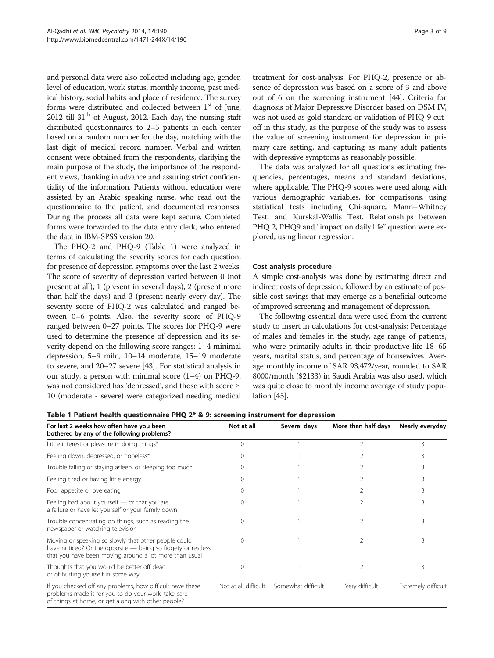and personal data were also collected including age, gender, level of education, work status, monthly income, past medical history, social habits and place of residence. The survey forms were distributed and collected between  $1<sup>st</sup>$  of June, 2012 till  $31<sup>th</sup>$  of August, 2012. Each day, the nursing staff distributed questionnaires to 2–5 patients in each center based on a random number for the day, matching with the last digit of medical record number. Verbal and written consent were obtained from the respondents, clarifying the main purpose of the study, the importance of the respondent views, thanking in advance and assuring strict confidentiality of the information. Patients without education were assisted by an Arabic speaking nurse, who read out the questionnaire to the patient, and documented responses. During the process all data were kept secure. Completed forms were forwarded to the data entry clerk, who entered the data in IBM-SPSS version 20.

The PHQ-2 and PHQ-9 (Table 1) were analyzed in terms of calculating the severity scores for each question, for presence of depression symptoms over the last 2 weeks. The score of severity of depression varied between 0 (not present at all), 1 (present in several days), 2 (present more than half the days) and 3 (present nearly every day). The severity score of PHQ-2 was calculated and ranged between 0–6 points. Also, the severity score of PHQ-9 ranged between 0–27 points. The scores for PHQ-9 were used to determine the presence of depression and its severity depend on the following score ranges: 1–4 minimal depression, 5–9 mild, 10–14 moderate, 15–19 moderate to severe, and 20–27 severe [[43](#page-8-0)]. For statistical analysis in our study, a person with minimal score (1–4) on PHQ-9, was not considered has 'depressed', and those with score ≥ 10 (moderate - severe) were categorized needing medical

treatment for cost-analysis. For PHQ-2, presence or absence of depression was based on a score of 3 and above out of 6 on the screening instrument [\[44](#page-8-0)]. Criteria for diagnosis of Major Depressive Disorder based on DSM IV, was not used as gold standard or validation of PHQ-9 cutoff in this study, as the purpose of the study was to assess the value of screening instrument for depression in primary care setting, and capturing as many adult patients with depressive symptoms as reasonably possible.

The data was analyzed for all questions estimating frequencies, percentages, means and standard deviations, where applicable. The PHQ-9 scores were used along with various demographic variables, for comparisons, using statistical tests including Chi-square, Mann–Whitney Test, and Kurskal-Wallis Test. Relationships between PHQ 2, PHQ9 and "impact on daily life" question were explored, using linear regression.

# Cost analysis procedure

A simple cost-analysis was done by estimating direct and indirect costs of depression, followed by an estimate of possible cost-savings that may emerge as a beneficial outcome of improved screening and management of depression.

The following essential data were used from the current study to insert in calculations for cost-analysis: Percentage of males and females in the study, age range of patients, who were primarily adults in their productive life 18–65 years, marital status, and percentage of housewives. Average monthly income of SAR 93,472/year, rounded to SAR 8000/month (\$2133) in Saudi Arabia was also used, which was quite close to monthly income average of study population [\[45\]](#page-8-0).

Table 1 Patient health questionnaire PHQ 2\* & 9: screening instrument for depression

| For last 2 weeks how often have you been<br>bothered by any of the following problems?                                                                                         | Not at all           | Several days       | More than half days | Nearly everyday     |
|--------------------------------------------------------------------------------------------------------------------------------------------------------------------------------|----------------------|--------------------|---------------------|---------------------|
| Little interest or pleasure in doing things*                                                                                                                                   | $\Omega$             |                    |                     | 3                   |
| Feeling down, depressed, or hopeless*                                                                                                                                          | $\Omega$             |                    |                     |                     |
| Trouble falling or staying asleep, or sleeping too much                                                                                                                        | $\Omega$             |                    |                     |                     |
| Feeling tired or having little energy                                                                                                                                          | 0                    |                    |                     |                     |
| Poor appetite or overeating                                                                                                                                                    | 0                    |                    |                     |                     |
| Feeling bad about yourself — or that you are<br>a failure or have let yourself or your family down                                                                             |                      |                    |                     | 3                   |
| Trouble concentrating on things, such as reading the<br>newspaper or watching television                                                                                       | $\Omega$             |                    |                     | 3                   |
| Moving or speaking so slowly that other people could<br>have noticed? Or the opposite - being so fidgety or restless<br>that you have been moving around a lot more than usual | $\Omega$             |                    |                     | 3                   |
| Thoughts that you would be better off dead<br>or of hurting yourself in some way                                                                                               | $\Omega$             |                    |                     | 3                   |
| If you checked off any problems, how difficult have these<br>problems made it for you to do your work, take care<br>of things at home, or get along with other people?         | Not at all difficult | Somewhat difficult | Very difficult      | Extremely difficult |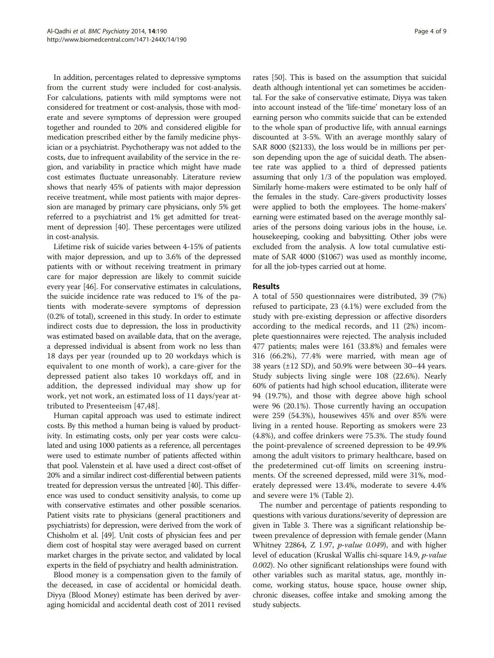In addition, percentages related to depressive symptoms from the current study were included for cost-analysis. For calculations, patients with mild symptoms were not considered for treatment or cost-analysis, those with moderate and severe symptoms of depression were grouped together and rounded to 20% and considered eligible for medication prescribed either by the family medicine physician or a psychiatrist. Psychotherapy was not added to the costs, due to infrequent availability of the service in the region, and variability in practice which might have made cost estimates fluctuate unreasonably. Literature review shows that nearly 45% of patients with major depression receive treatment, while most patients with major depression are managed by primary care physicians, only 5% get referred to a psychiatrist and 1% get admitted for treatment of depression [\[40\]](#page-8-0). These percentages were utilized in cost-analysis.

Lifetime risk of suicide varies between 4-15% of patients with major depression, and up to 3.6% of the depressed patients with or without receiving treatment in primary care for major depression are likely to commit suicide every year [\[46\]](#page-8-0). For conservative estimates in calculations, the suicide incidence rate was reduced to 1% of the patients with moderate-severe symptoms of depression (0.2% of total), screened in this study. In order to estimate indirect costs due to depression, the loss in productivity was estimated based on available data, that on the average, a depressed individual is absent from work no less than 18 days per year (rounded up to 20 workdays which is equivalent to one month of work), a care-giver for the depressed patient also takes 10 workdays off, and in addition, the depressed individual may show up for work, yet not work, an estimated loss of 11 days/year attributed to Presenteeism [[47,48](#page-8-0)].

Human capital approach was used to estimate indirect costs. By this method a human being is valued by productivity. In estimating costs, only per year costs were calculated and using 1000 patients as a reference, all percentages were used to estimate number of patients affected within that pool. Valenstein et al. have used a direct cost-offset of 20% and a similar indirect cost-differential between patients treated for depression versus the untreated [[40](#page-8-0)]. This difference was used to conduct sensitivity analysis, to come up with conservative estimates and other possible scenarios. Patient visits rate to physicians (general practitioners and psychiatrists) for depression, were derived from the work of Chisholm et al. [\[49\]](#page-8-0). Unit costs of physician fees and per diem cost of hospital stay were averaged based on current market charges in the private sector, and validated by local experts in the field of psychiatry and health administration.

Blood money is a compensation given to the family of the deceased, in case of accidental or homicidal death. Diyya (Blood Money) estimate has been derived by averaging homicidal and accidental death cost of 2011 revised

rates [[50](#page-8-0)]. This is based on the assumption that suicidal death although intentional yet can sometimes be accidental. For the sake of conservative estimate, Diyya was taken into account instead of the 'life-time' monetary loss of an earning person who commits suicide that can be extended to the whole span of productive life, with annual earnings discounted at 3-5%. With an average monthly salary of SAR 8000 (\$2133), the loss would be in millions per person depending upon the age of suicidal death. The absentee rate was applied to a third of depressed patients assuming that only 1/3 of the population was employed. Similarly home-makers were estimated to be only half of the females in the study. Care-givers productivity losses were applied to both the employees. The home-makers' earning were estimated based on the average monthly salaries of the persons doing various jobs in the house, i.e. housekeeping, cooking and babysitting. Other jobs were excluded from the analysis. A low total cumulative estimate of SAR 4000 (\$1067) was used as monthly income, for all the job-types carried out at home.

# Results

A total of 550 questionnaires were distributed, 39 (7%) refused to participate, 23 (4.1%) were excluded from the study with pre-existing depression or affective disorders according to the medical records, and 11 (2%) incomplete questionnaires were rejected. The analysis included 477 patients; males were 161 (33.8%) and females were 316 (66.2%), 77.4% were married, with mean age of 38 years  $(\pm 12$  SD), and 50.9% were between 30–44 years. Study subjects living single were 108 (22.6%). Nearly 60% of patients had high school education, illiterate were 94 (19.7%), and those with degree above high school were 96 (20.1%). Those currently having an occupation were 259 (54.3%), housewives 45% and over 85% were living in a rented house. Reporting as smokers were 23 (4.8%), and coffee drinkers were 75.3%. The study found the point-prevalence of screened depression to be 49.9% among the adult visitors to primary healthcare, based on the predetermined cut-off limits on screening instruments. Of the screened depressed, mild were 31%, moderately depressed were 13.4%, moderate to severe 4.4% and severe were 1% (Table [2](#page-4-0)).

The number and percentage of patients responding to questions with various durations/severity of depression are given in Table [3](#page-4-0). There was a significant relationship between prevalence of depression with female gender (Mann Whitney 22864, Z 1.97, p-value 0.049), and with higher level of education (Kruskal Wallis chi-square 14.9, p-value 0.002). No other significant relationships were found with other variables such as marital status, age, monthly income, working status, house space, house owner ship, chronic diseases, coffee intake and smoking among the study subjects.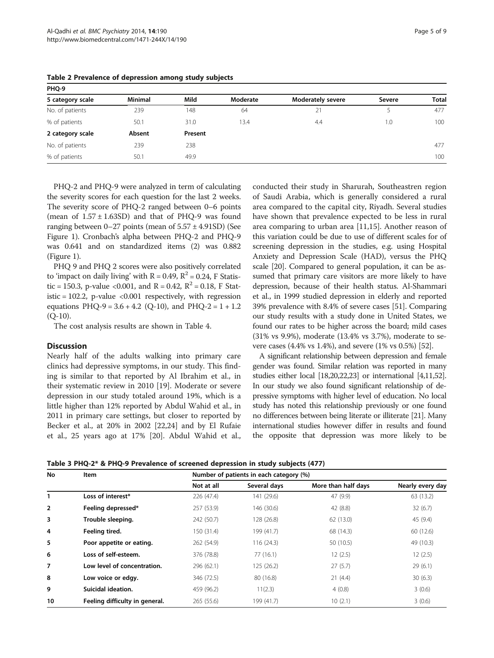| PHQ-9            |         |         |          |                          |        |              |  |  |
|------------------|---------|---------|----------|--------------------------|--------|--------------|--|--|
| 5 category scale | Minimal | Mild    | Moderate | <b>Moderately severe</b> | Severe | <b>Total</b> |  |  |
| No. of patients  | 239     | 148     | 64       | 21                       |        | 477          |  |  |
| % of patients    | 50.1    | 31.0    | 13.4     | 4.4                      | .0     | 100          |  |  |
| 2 category scale | Absent  | Present |          |                          |        |              |  |  |
| No. of patients  | 239     | 238     |          |                          |        | 477          |  |  |
| % of patients    | 50.1    | 49.9    |          |                          |        | 100          |  |  |

<span id="page-4-0"></span>Table 2 Prevalence of depression among study subjects

PHQ-2 and PHQ-9 were analyzed in term of calculating the severity scores for each question for the last 2 weeks. The severity score of PHQ-2 ranged between 0–6 points (mean of  $1.57 \pm 1.63$ SD) and that of PHO-9 was found ranging between  $0-27$  points (mean of  $5.57 \pm 4.91$ SD) (See Figure [1\)](#page-5-0). Cronbach's alpha between PHQ-2 and PHQ-9 was 0.641 and on standardized items (2) was 0.882 (Figure [1](#page-5-0)).

PHQ 9 and PHQ 2 scores were also positively correlated to 'impact on daily living' with  $R = 0.49$ ,  $R^2 = 0.24$ , F Statistic = 150.3, p-value <0.001, and R = 0.42,  $R^2$  = 0.18, F Statistic = 102.2, p-value  $\langle 0.001$  respectively, with regression equations  $PHQ-9 = 3.6 + 4.2$  (Q-10), and  $PHQ-2 = 1 + 1.2$  $(O-10)$ .

The cost analysis results are shown in Table [4.](#page-5-0)

### **Discussion**

Nearly half of the adults walking into primary care clinics had depressive symptoms, in our study. This finding is similar to that reported by Al Ibrahim et al., in their systematic review in 2010 [[19\]](#page-7-0). Moderate or severe depression in our study totaled around 19%, which is a little higher than 12% reported by Abdul Wahid et al., in 2011 in primary care settings, but closer to reported by Becker et al., at 20% in 2002 [[22,24](#page-7-0)] and by El Rufaie et al., 25 years ago at 17% [[20](#page-7-0)]. Abdul Wahid et al., conducted their study in Sharurah, Southeastren region of Saudi Arabia, which is generally considered a rural area compared to the capital city, Riyadh. Several studies have shown that prevalence expected to be less in rural area comparing to urban area [\[11,15\]](#page-7-0). Another reason of this variation could be due to use of different scales for of screening depression in the studies, e.g. using Hospital Anxiety and Depression Scale (HAD), versus the PHQ scale [\[20](#page-7-0)]. Compared to general population, it can be assumed that primary care visitors are more likely to have depression, because of their health status. Al-Shammari et al., in 1999 studied depression in elderly and reported 39% prevalence with 8.4% of severe cases [[51](#page-8-0)]. Comparing our study results with a study done in United States, we found our rates to be higher across the board; mild cases (31% vs 9.9%), moderate (13.4% vs 3.7%), moderate to severe cases (4.4% vs 1.4%), and severe (1% vs 0.5%) [\[52\]](#page-8-0).

A significant relationship between depression and female gender was found. Similar relation was reported in many studies either local [[18,20,22,23](#page-7-0)] or international [\[4,11](#page-7-0)[,52](#page-8-0)]. In our study we also found significant relationship of depressive symptoms with higher level of education. No local study has noted this relationship previously or one found no differences between being literate or illiterate [[21](#page-7-0)]. Many international studies however differ in results and found the opposite that depression was more likely to be

Table 3 PHQ-2\* & PHQ-9 Prevalence of screened depression in study subjects (477)

| No             | Item                           |            | Number of patients in each category (%) |                     |                  |  |  |  |
|----------------|--------------------------------|------------|-----------------------------------------|---------------------|------------------|--|--|--|
|                |                                | Not at all | Several days                            | More than half days | Nearly every day |  |  |  |
| 1              | Loss of interest*              | 226 (47.4) | 141 (29.6)                              | 47 (9.9)            | 63 (13.2)        |  |  |  |
| $\overline{2}$ | Feeling depressed*             | 257 (53.9) | 146 (30.6)                              | 42(8.8)             | 32(6.7)          |  |  |  |
| 3              | Trouble sleeping.              | 242 (50.7) | 128 (26.8)                              | 62 (13.0)           | 45 (9.4)         |  |  |  |
| 4              | Feeling tired.                 | 150 (31.4) | 199 (41.7)                              | 68 (14.3)           | 60 (12.6)        |  |  |  |
| 5              | Poor appetite or eating.       | 262 (54.9) | 116(24.3)                               | 50 (10.5)           | 49 (10.3)        |  |  |  |
| 6              | Loss of self-esteem.           | 376 (78.8) | 77(16.1)                                | 12(2.5)             | 12(2.5)          |  |  |  |
| 7              | Low level of concentration.    | 296 (62.1) | 125 (26.2)                              | 27(5.7)             | 29(6.1)          |  |  |  |
| 8              | Low voice or edgy.             | 346 (72.5) | 80 (16.8)                               | 21(4.4)             | 30(6.3)          |  |  |  |
| 9              | Suicidal ideation.             | 459 (96.2) | 11(2.3)                                 | 4(0.8)              | 3(0.6)           |  |  |  |
| 10             | Feeling difficulty in general. | 265(55.6)  | 199 (41.7)                              | 10(2.1)             | 3(0.6)           |  |  |  |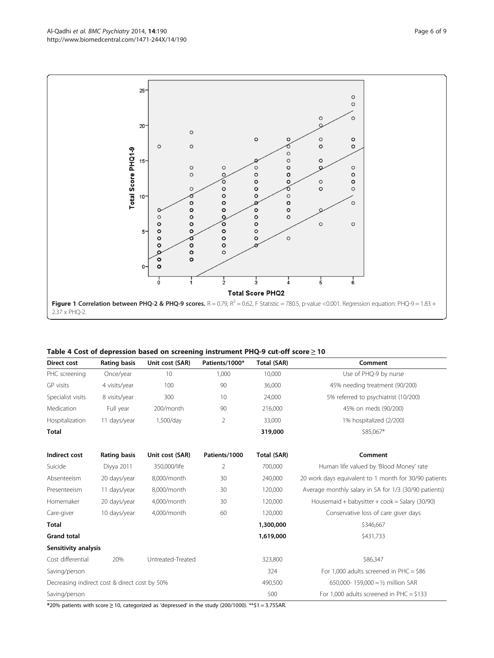<span id="page-5-0"></span>

|  | Table 4 Cost of depression based on screening instrument PHQ-9 cut-off score $\geq$ 10 |  |  |
|--|----------------------------------------------------------------------------------------|--|--|
|  |                                                                                        |  |  |

| Direct cost                                   | <b>Rating basis</b> | Unit cost (SAR)   | Patients/1000* | Total (SAR) | Comment                                               |  |
|-----------------------------------------------|---------------------|-------------------|----------------|-------------|-------------------------------------------------------|--|
| PHC screening                                 | Once/year           | 10                | 1,000          | 10,000      | Use of PHQ-9 by nurse                                 |  |
| GP visits                                     | 4 visits/year       | 100               | 90             | 36,000      | 45% needing treatment (90/200)                        |  |
| Specialist visits                             | 8 visits/year       | 300               | 10             | 24,000      | 5% referred to psychiatrist (10/200)                  |  |
| Medication                                    | Full year           | 200/month         | 90             | 216,000     | 45% on meds (90/200)                                  |  |
| Hospitalization                               | 11 days/year        | 1,500/day         | 2              | 33,000      | 1% hospitalized (2/200)                               |  |
| Total                                         |                     |                   |                | 319,000     | \$85,067*                                             |  |
| Indirect cost                                 | <b>Rating basis</b> | Unit cost (SAR)   | Patients/1000  | Total (SAR) | Comment                                               |  |
| Suicide                                       | Diyya 2011          | 350,000/life      | 2              | 700,000     | Human life valued by 'Blood Money' rate               |  |
| Absenteeism                                   | 20 days/year        | 8,000/month       | 30             | 240,000     | 20 work days equivalent to 1 month for 30/90 patients |  |
| Presenteeism                                  | 11 days/year        | 8,000/month       | 30             | 120,000     | Average monthly salary in SA for 1/3 (30/90 patients) |  |
| Homemaker                                     | 20 days/year        | 4,000/month       | 30             | 120,000     | Housemaid + babysitter + $\cos k = \frac{30}{90}$     |  |
| Care-giver                                    | 10 days/year        | 4,000/month       | 60             | 120,000     | Conservative loss of care giver days                  |  |
| <b>Total</b>                                  |                     |                   |                | 1,300,000   | \$346,667                                             |  |
| <b>Grand total</b>                            |                     |                   |                | 1,619,000   | \$431,733                                             |  |
| Sensitivity analysis                          |                     |                   |                |             |                                                       |  |
| Cost differential                             | 20%                 | Untreated-Treated |                | 323,800     | \$86,347                                              |  |
| Saving/person                                 |                     |                   |                | 324         | For 1,000 adults screened in $PHC = $86$              |  |
| Decreasing indirect cost & direct cost by 50% |                     |                   |                | 490,500     | 650,000-159,000 = 1/2 million SAR                     |  |
| Saving/person                                 |                     |                   |                | 500         | For 1,000 adults screened in PHC = $$133$             |  |

\*20% patients with score ≥ 10, categorized as 'depressed' in the study (200/1000). \*\*\$1 = 3.75SAR.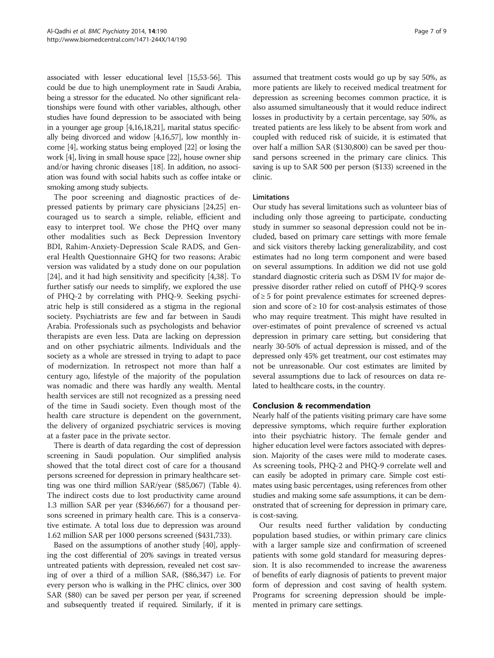associated with lesser educational level [[15](#page-7-0)[,53-56](#page-8-0)]. This could be due to high unemployment rate in Saudi Arabia, being a stressor for the educated. No other significant relationships were found with other variables, although, other studies have found depression to be associated with being in a younger age group [\[4,16,18,21\]](#page-7-0), marital status specifically being divorced and widow [\[4,16](#page-7-0)[,57](#page-8-0)], low monthly income [\[4\]](#page-7-0), working status being employed [\[22\]](#page-7-0) or losing the work [\[4\]](#page-7-0), living in small house space [\[22\]](#page-7-0), house owner ship and/or having chronic diseases [[18\]](#page-7-0). In addition, no association was found with social habits such as coffee intake or smoking among study subjects.

The poor screening and diagnostic practices of depressed patients by primary care physicians [\[24,25\]](#page-7-0) encouraged us to search a simple, reliable, efficient and easy to interpret tool. We chose the PHQ over many other modalities such as Beck Depression Inventory BDI, Rahim-Anxiety-Depression Scale RADS, and General Health Questionnaire GHQ for two reasons; Arabic version was validated by a study done on our population [[24\]](#page-7-0), and it had high sensitivity and specificity [\[4](#page-7-0),[38](#page-8-0)]. To further satisfy our needs to simplify, we explored the use of PHQ-2 by correlating with PHQ-9. Seeking psychiatric help is still considered as a stigma in the regional society. Psychiatrists are few and far between in Saudi Arabia. Professionals such as psychologists and behavior therapists are even less. Data are lacking on depression and on other psychiatric ailments. Individuals and the society as a whole are stressed in trying to adapt to pace of modernization. In retrospect not more than half a century ago, lifestyle of the majority of the population was nomadic and there was hardly any wealth. Mental health services are still not recognized as a pressing need of the time in Saudi society. Even though most of the health care structure is dependent on the government, the delivery of organized psychiatric services is moving at a faster pace in the private sector.

There is dearth of data regarding the cost of depression screening in Saudi population. Our simplified analysis showed that the total direct cost of care for a thousand persons screened for depression in primary healthcare setting was one third million SAR/year (\$85,067) (Table [4](#page-5-0)). The indirect costs due to lost productivity came around 1.3 million SAR per year (\$346,667) for a thousand persons screened in primary health care. This is a conservative estimate. A total loss due to depression was around 1.62 million SAR per 1000 persons screened (\$431,733).

Based on the assumptions of another study [[40](#page-8-0)], applying the cost differential of 20% savings in treated versus untreated patients with depression, revealed net cost saving of over a third of a million SAR, (\$86,347) i.e. For every person who is walking in the PHC clinics, over 300 SAR (\$80) can be saved per person per year, if screened and subsequently treated if required. Similarly, if it is assumed that treatment costs would go up by say 50%, as more patients are likely to received medical treatment for depression as screening becomes common practice, it is also assumed simultaneously that it would reduce indirect losses in productivity by a certain percentage, say 50%, as treated patients are less likely to be absent from work and coupled with reduced risk of suicide, it is estimated that over half a million SAR (\$130,800) can be saved per thousand persons screened in the primary care clinics. This saving is up to SAR 500 per person (\$133) screened in the clinic.

# Limitations

Our study has several limitations such as volunteer bias of including only those agreeing to participate, conducting study in summer so seasonal depression could not be included, based on primary care settings with more female and sick visitors thereby lacking generalizability, and cost estimates had no long term component and were based on several assumptions. In addition we did not use gold standard diagnostic criteria such as DSM IV for major depressive disorder rather relied on cutoff of PHQ-9 scores  $of \geq 5$  for point prevalence estimates for screened depression and score of  $\geq 10$  for cost-analysis estimates of those who may require treatment. This might have resulted in over-estimates of point prevalence of screened vs actual depression in primary care setting, but considering that nearly 30-50% of actual depression is missed, and of the depressed only 45% get treatment, our cost estimates may not be unreasonable. Our cost estimates are limited by several assumptions due to lack of resources on data related to healthcare costs, in the country.

### Conclusion & recommendation

Nearly half of the patients visiting primary care have some depressive symptoms, which require further exploration into their psychiatric history. The female gender and higher education level were factors associated with depression. Majority of the cases were mild to moderate cases. As screening tools, PHQ-2 and PHQ-9 correlate well and can easily be adopted in primary care. Simple cost estimates using basic percentages, using references from other studies and making some safe assumptions, it can be demonstrated that of screening for depression in primary care, is cost-saving.

Our results need further validation by conducting population based studies, or within primary care clinics with a larger sample size and confirmation of screened patients with some gold standard for measuring depression. It is also recommended to increase the awareness of benefits of early diagnosis of patients to prevent major form of depression and cost saving of health system. Programs for screening depression should be implemented in primary care settings.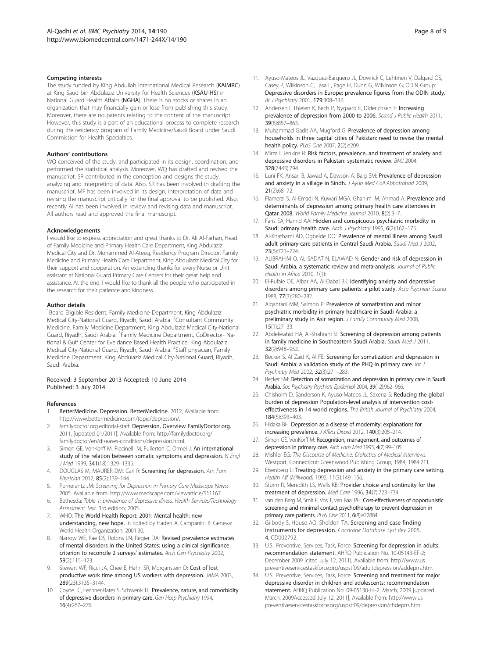#### <span id="page-7-0"></span>Competing interests

The study funded by King Abdullah International Medical Research (KAIMRC) at King Saud bin Abdulaziz University for Health Sciences (KSAU-HS) in National Guard Health Affairs (NGHA). There is no stocks or shares in an organization that may financially gain or lose from publishing this study. Moreover, there are no patents relating to the content of the manuscript. However, this study is a part of an educational process to complete research during the residency program of Family Medicine/Saudi Board under Saudi Commission for Health Specialties.

#### Authors' contributions

WQ conceived of the study, and participated in its design, coordination, and performed the statistical analysis. Moreover, WQ has drafted and revised the manuscript. SR contributed in the conception and designs the study, analyzing and interpreting of data. Also, SR has been involved in drafting the manuscript. MF has been involved in its design, interpretation of data and revising the manuscript critically for the final approval to be published. Also, recently AI has been involved in review and revising data and manuscript. All authors read and approved the final manuscript.

#### Acknowledgements

I would like to express appreciation and great thanks to Dr. Ali Al-Farhan, Head of Family Medicine and Primary Health Care Department, King Abdulaziz Medical City and Dr. Mohammed Al-Ateeq, Residency Program Director, Family Medicine and Primary Health Care Department, King Abdulaziz Medical City for their support and cooperation. An extending thanks for every Nurse or Unit assistant at National Guard Primary Care Centers for their great help and assistance. At the end, I would like to thank all the people who participated in the research for their patience and kindness.

#### Author details

<sup>1</sup>Board Eligible Resident, Family Medicine Department, King Abdulaziz Medical City-National Guard, Riyadh, Saudi Arabia. <sup>2</sup>Consultant Community Medicine, Family Medicine Department, King Abdulaziz Medical City-National Guard, Riyadh, Saudi Arabia. <sup>3</sup> Family Medicine Department, CoDirector- National & Gulf Center for Eveidance Based Health Practice, King Abdulaziz Medical City-National Guard, Riyadh, Saudi Arabia. <sup>4</sup>Staff physician, Family Medicine Department, King Abdulaziz Medical City-National Guard, Riyadh, Saudi Arabia.

#### Received: 3 September 2013 Accepted: 10 June 2014 Published: 3 July 2014

#### References

- BetterMedicine. Depression. BetterMedicine. 2012, Available from: <http://www.bettermedicine.com/topic/depression/>.
- 2. familydoctor.org.editorial-staff: Depression, Overview FamilyDoctor.org. 2011, [updated 01/2011]; Available from: [http://familydoctor.org/](http://familydoctor.org/familydoctor/en/diseases-conditions/depression.html) [familydoctor/en/diseases-conditions/depression.html](http://familydoctor.org/familydoctor/en/diseases-conditions/depression.html).
- 3. Simon GE, VonKorff M, Piccinelli M, Fullerton C, Ormel J: An international study of the relation between somatic symptoms and depression. N Engl J Med 1999, 341(18):1329–1335.
- 4. DOUGLAS M, MAURER DM, Carl R: Screening for depression. Am Fam Physician 2012, 85(2):139–144.
- Fomerantz JM: Screening for Depression in Primary Care Medscape News; 2005. Available from:<http://www.medscape.com/viewarticle/511167>.
- 6. Bethesda: Table 1: prevalence of depressive illness. Health Services/Technology Assessment Text. 3rd edition; 2005.
- 7. WHO: The World Health Report: 2001: Mental health: new understanding, new hope. In Edited by Haden A, Campanini B. Geneva: World Health Organization; 2001:30.
- 8. Narrow WE, Rae DS, Robins LN, Regier DA: Revised prevalence estimates of mental disorders in the United States: using a clinical significance criterion to reconcile 2 surveys' estimates. Arch Gen Psychiatry 2002, 59(2):115–123.
- Stewart WF, Ricci JA, Chee E, Hahn SR, Morganstein D: Cost of lost productive work time among US workers with depression. JAMA 2003, 289(23):3135–3144.
- 10. Coyne JC, Fechner-Bates S, Schwenk TL: Prevalence, nature, and comorbidity of depressive disorders in primary care. Gen Hosp Psychiatry 1994, 16(4):267–276.
- 11. Ayuso-Mateos JL, Vazquez-Barquero JL, Dowrick C, Lehtinen V, Dalgard OS, Casey P, Wilkinson C, Lasa L, Page H, Dunn G, Wilkinson G; ODIN Group: Depressive disorders in Europe: prevalence figures from the ODIN study. Br J Psychiatry 2001, 179:308–316.
- 12. Andersen I, Thielen K, Bech P, Nygaard E, Diderichsen F: Increasing prevalence of depression from 2000 to 2006. Scand J Public Health 2011, 39(8):857–863.
- 13. Muhammad Gadit AA, Mugford G: Prevalence of depression among households in three capital cities of Pakistan: need to revise the mental health policy. PLoS One 2007, 2(2):e209.
- 14. Mirza I, Jenkins R: Risk factors, prevalence, and treatment of anxiety and depressive disorders in Pakistan: systematic review. BMJ 2004, 328(7443):794.
- 15. Luni FK, Ansari B, Jawad A, Dawson A, Baig SM: Prevalence of depression and anxiety in a village in Sindh. J Ayub Med Coll Abbottabad 2009, 21(2):68–72.
- 16. Flamerzi S, Al-Emadi N, Kuwari MGA, Ghanim IM, Ahmad A: Prevalence and determinants of depression among primary health care attendees in Qatar 2008. World Family Medicine Journal 2010, 8(2):3–7.
- 17. Faris EA, Hamid AA: Hidden and conspicuous psychiatric morbidity in Saudi primary health care. Arab J Psychiatry 1995, 6(2):162-175.
- 18. Al-Khathami AD, Ogbeide DO: Prevalence of mental illness among Saudi adult primary-care patients in Central Saudi Arabia. Saudi Med J 2002, 23(6):721–724.
- 19. ALIBRAHIM O, AL-SADAT N, ELAWAD N: Gender and risk of depression in Saudi Arabia, a systematic review and meta-analysis. Journal of Public Health in Africa 2010, 1(1):
- 20. El-Rufaie OE, Albar AA, Al-Dabal BK: Identifying anxiety and depressive disorders among primary care patients: a pilot study. Acta Psychiatr Scand 1988, 77(3):280–282.
- 21. Alqahtani MM, Salmon P: Prevalence of somatization and minor psychiatric morbidity in primary healthcare in Saudi Arabia: a preliminary study in Asir region. J Family Community Med 2008, 15(1):27–33.
- 22. Abdelwahid HA, Al-Shahrani SI: Screening of depression among patients in family medicine in Southeastern Saudi Arabia. Saudi Med J 2011, 32(9):948–952.
- 23. Becker S, Al Zaid K, Al FE: Screening for somatization and depression in Saudi Arabia: a validation study of the PHQ in primary care. Int J Psychiatry Med 2002, 32(3):271–283.
- 24. Becker SM: Detection of somatization and depression in primary care in Saudi Arabia. Soc Psychiatry Psychiatr Epidemiol 2004, 39(12):962–966.
- 25. Chisholm D, Sanderson K, Ayuso-Mateos JL, Saxena S: Reducing the global burden of depression Population-level analysis of intervention costeffectiveness in 14 world regions. The British Journal of Psychiatry 2004, 184(5):393–403.
- 26. Hidaka BH: Depression as a disease of modernity: explanations for increasing prevalence. J Affect Disord 2012, 140(3):205–214.
- 27. Simon GE, VonKorff M: Recognition, management, and outcomes of depression in primary care. Arch Fam Med 1995, 4(2):99-105.
- 28. Mishler EG: The Discourse of Medicine: Dialectics of Medical Interviews. Westport, Connecticut: Greenwood Publishing Group, 1984; 1984:211.
- 29. Eisenberg L: Treating depression and anxiety in the primary care setting. Health Aff (Millwood) 1992, 11(3):149–156.
- 30. Sturm R, Meredith LS, Wells KB: Provider choice and continuity for the treatment of depression. Med Care 1996, 34(7):723–734.
- 31. van den Berg M, Smit F, Vos T, van Baal PH: Cost-effectiveness of opportunistic screening and minimal contact psychotherapy to prevent depression in primary care patients. PLoS One 2011, 6(8):e22884.
- 32. Gilbody S, House AO, Sheldon TA: Screening and case finding instruments for depression. Cochrane Database Syst Rev 2005, 4, CD002792.
- 33. U.S., Preventive, Services, Task, Force: Screening for depression in adults: recommendation statement. AHRQ Publication No. 10-05143-EF-2; December 2009 [cited July 12, 2011]; Available from: [http://www.us](http://www.uspreventiveservicestaskforce.org/uspstf09/adultdepression/addeprrs.htm) [preventiveservicestaskforce.org/uspstf09/adultdepression/addeprrs.htm.](http://www.uspreventiveservicestaskforce.org/uspstf09/adultdepression/addeprrs.htm)
- 34. U.S., Preventive, Services, Task, Force: Screening and treatment for major depressive disorder in children and adolescents: recommendation statement. AHRQ Publication No. 09-05130-EF-2; March, 2009 [updated March, 2009Accessed July 12, 2011]; Available from: [http://www.us](http://www.uspreventiveservicestaskforce.org/uspstf09/depression/chdeprrs.htm) [preventiveservicestaskforce.org/uspstf09/depression/chdeprrs.htm](http://www.uspreventiveservicestaskforce.org/uspstf09/depression/chdeprrs.htm).